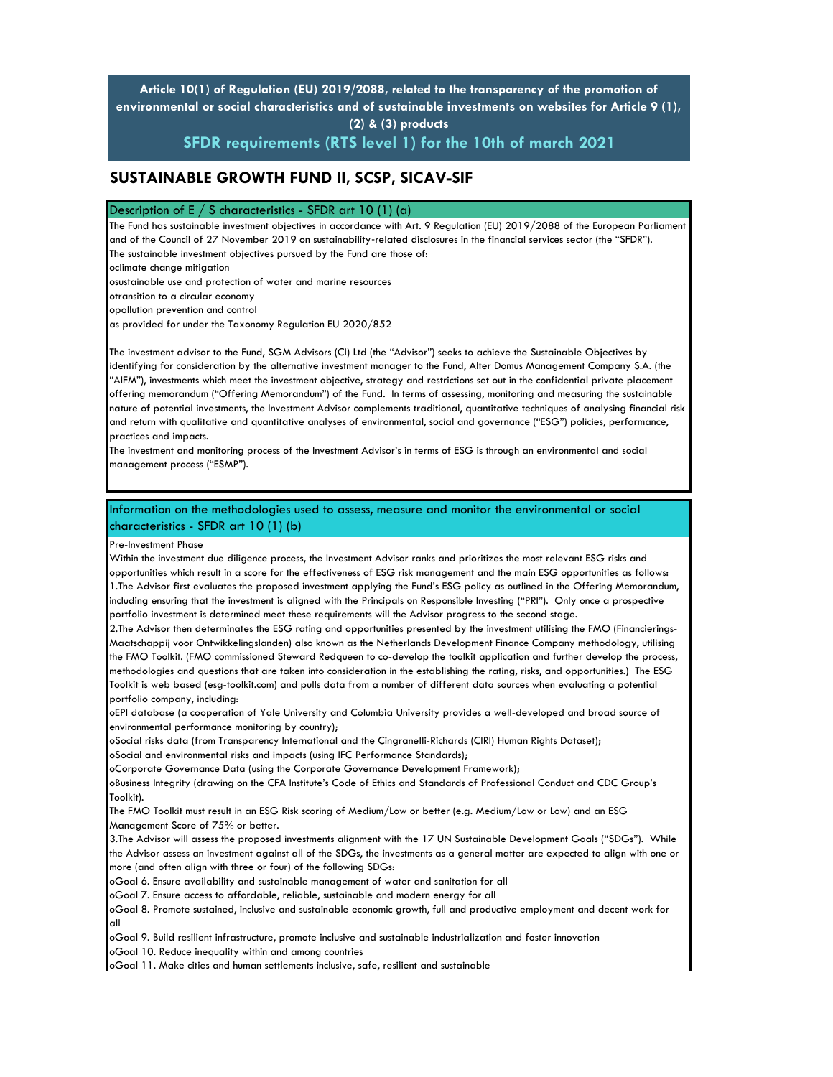**Article 10(1) of Regulation (EU) 2019/2088, related to the transparency of the promotion of environmental or social characteristics and of sustainable investments on websites for Article 9 (1), (2) & (3) products** 

**SFDR requirements (RTS level 1) for the 10th of march 2021**

# **SUSTAINABLE GROWTH FUND II, SCSP, SICAV-SIF**

#### Description of E  $/$  S characteristics - SFDR art 10 (1) (a)

The Fund has sustainable investment objectives in accordance with Art. 9 Regulation (EU) 2019/2088 of the European Parliament and of the Council of 27 November 2019 on sustainability-related disclosures in the financial services sector (the "SFDR"). The sustainable investment objectives pursued by the Fund are those of:

oclimate change mitigation

osustainable use and protection of water and marine resources

otransition to a circular economy

opollution prevention and control

as provided for under the Taxonomy Regulation EU 2020/852

The investment advisor to the Fund, SGM Advisors (CI) Ltd (the "Advisor") seeks to achieve the Sustainable Objectives by identifying for consideration by the alternative investment manager to the Fund, Alter Domus Management Company S.A. (the "AIFM"), investments which meet the investment objective, strategy and restrictions set out in the confidential private placement offering memorandum ("Offering Memorandum") of the Fund. In terms of assessing, monitoring and measuring the sustainable nature of potential investments, the Investment Advisor complements traditional, quantitative techniques of analysing financial risk and return with qualitative and quantitative analyses of environmental, social and governance ("ESG") policies, performance, practices and impacts.

The investment and monitoring process of the Investment Advisor's in terms of ESG is through an environmental and social management process ("ESMP").

## Information on the methodologies used to assess, measure and monitor the environmental or social characteristics - SFDR art 10 (1) (b)

Pre-Investment Phase

Within the investment due diligence process, the Investment Advisor ranks and prioritizes the most relevant ESG risks and opportunities which result in a score for the effectiveness of ESG risk management and the main ESG opportunities as follows: 1.The Advisor first evaluates the proposed investment applying the Fund's ESG policy as outlined in the Offering Memorandum, including ensuring that the investment is aligned with the Principals on Responsible Investing ("PRI"). Only once a prospective portfolio investment is determined meet these requirements will the Advisor progress to the second stage.

2.The Advisor then determinates the ESG rating and opportunities presented by the investment utilising the FMO (Financierings-Maatschappij voor Ontwikkelingslanden) also known as the Netherlands Development Finance Company methodology, utilising the FMO Toolkit. (FMO commissioned Steward Redqueen to co-develop the toolkit application and further develop the process, methodologies and questions that are taken into consideration in the establishing the rating, risks, and opportunities.) The ESG Toolkit is web based (esg-toolkit.com) and pulls data from a number of different data sources when evaluating a potential portfolio company, including:

oEPI database (a cooperation of Yale University and Columbia University provides a well-developed and broad source of environmental performance monitoring by country);

oSocial risks data (from Transparency International and the Cingranelli-Richards (CIRI) Human Rights Dataset);

oSocial and environmental risks and impacts (using IFC Performance Standards);

oCorporate Governance Data (using the Corporate Governance Development Framework);

oBusiness Integrity (drawing on the CFA Institute's Code of Ethics and Standards of Professional Conduct and CDC Group's Toolkit).

The FMO Toolkit must result in an ESG Risk scoring of Medium/Low or better (e.g. Medium/Low or Low) and an ESG Management Score of 75% or better.

3.The Advisor will assess the proposed investments alignment with the 17 UN Sustainable Development Goals ("SDGs"). While the Advisor assess an investment against all of the SDGs, the investments as a general matter are expected to align with one or more (and often align with three or four) of the following SDGs:

oGoal 6. Ensure availability and sustainable management of water and sanitation for all

oGoal 7. Ensure access to affordable, reliable, sustainable and modern energy for all

oGoal 8. Promote sustained, inclusive and sustainable economic growth, full and productive employment and decent work for all

oGoal 9. Build resilient infrastructure, promote inclusive and sustainable industrialization and foster innovation

oGoal 10. Reduce inequality within and among countries

oGoal 11. Make cities and human settlements inclusive, safe, resilient and sustainable